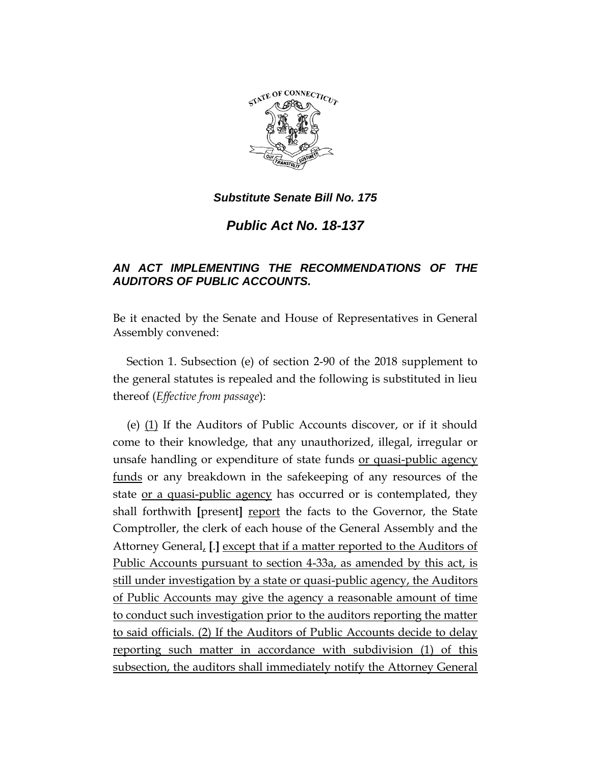

*Public Act No. 18-137*

# *AN ACT IMPLEMENTING THE RECOMMENDATIONS OF THE AUDITORS OF PUBLIC ACCOUNTS.*

Be it enacted by the Senate and House of Representatives in General Assembly convened:

Section 1. Subsection (e) of section 2-90 of the 2018 supplement to the general statutes is repealed and the following is substituted in lieu thereof (*Effective from passage*):

(e) (1) If the Auditors of Public Accounts discover, or if it should come to their knowledge, that any unauthorized, illegal, irregular or unsafe handling or expenditure of state funds or quasi-public agency funds or any breakdown in the safekeeping of any resources of the state or a quasi-public agency has occurred or is contemplated, they shall forthwith **[**present**]** report the facts to the Governor, the State Comptroller, the clerk of each house of the General Assembly and the Attorney General, **[**.**]** except that if a matter reported to the Auditors of Public Accounts pursuant to section 4-33a, as amended by this act, is still under investigation by a state or quasi-public agency, the Auditors of Public Accounts may give the agency a reasonable amount of time to conduct such investigation prior to the auditors reporting the matter to said officials. (2) If the Auditors of Public Accounts decide to delay reporting such matter in accordance with subdivision (1) of this subsection, the auditors shall immediately notify the Attorney General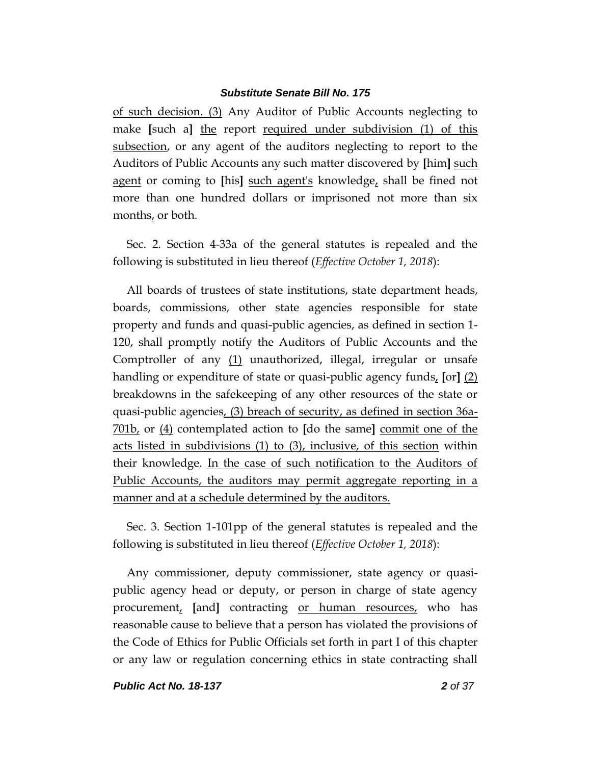of such decision. (3) Any Auditor of Public Accounts neglecting to make [such a] the report required under subdivision (1) of this subsection, or any agent of the auditors neglecting to report to the Auditors of Public Accounts any such matter discovered by **[**him**]** such agent or coming to **[**his**]** such agent's knowledge, shall be fined not more than one hundred dollars or imprisoned not more than six months, or both.

Sec. 2. Section 4-33a of the general statutes is repealed and the following is substituted in lieu thereof (*Effective October 1, 2018*):

All boards of trustees of state institutions, state department heads, boards, commissions, other state agencies responsible for state property and funds and quasi-public agencies, as defined in section 1- 120, shall promptly notify the Auditors of Public Accounts and the Comptroller of any  $(1)$  unauthorized, illegal, irregular or unsafe handling or expenditure of state or quasi-public agency funds, **[**or**]** (2) breakdowns in the safekeeping of any other resources of the state or quasi-public agencies, (3) breach of security, as defined in section 36a-701b, or (4) contemplated action to **[**do the same**]** commit one of the acts listed in subdivisions (1) to (3), inclusive, of this section within their knowledge. In the case of such notification to the Auditors of Public Accounts, the auditors may permit aggregate reporting in a manner and at a schedule determined by the auditors.

Sec. 3. Section 1-101pp of the general statutes is repealed and the following is substituted in lieu thereof (*Effective October 1, 2018*):

Any commissioner, deputy commissioner, state agency or quasipublic agency head or deputy, or person in charge of state agency procurement, **[**and**]** contracting or human resources, who has reasonable cause to believe that a person has violated the provisions of the Code of Ethics for Public Officials set forth in part I of this chapter or any law or regulation concerning ethics in state contracting shall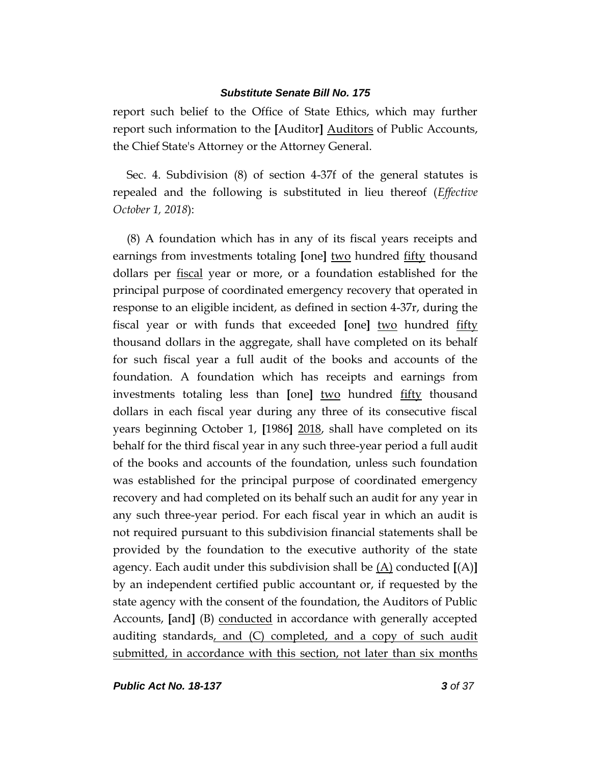report such belief to the Office of State Ethics, which may further report such information to the **[**Auditor**]** Auditors of Public Accounts, the Chief State's Attorney or the Attorney General.

Sec. 4. Subdivision (8) of section 4-37f of the general statutes is repealed and the following is substituted in lieu thereof (*Effective October 1, 2018*):

(8) A foundation which has in any of its fiscal years receipts and earnings from investments totaling **[**one**]** two hundred fifty thousand dollars per fiscal year or more, or a foundation established for the principal purpose of coordinated emergency recovery that operated in response to an eligible incident, as defined in section 4-37r, during the fiscal year or with funds that exceeded **[**one**]** two hundred fifty thousand dollars in the aggregate, shall have completed on its behalf for such fiscal year a full audit of the books and accounts of the foundation. A foundation which has receipts and earnings from investments totaling less than **[**one**]** two hundred fifty thousand dollars in each fiscal year during any three of its consecutive fiscal years beginning October 1, **[**1986**]** 2018, shall have completed on its behalf for the third fiscal year in any such three-year period a full audit of the books and accounts of the foundation, unless such foundation was established for the principal purpose of coordinated emergency recovery and had completed on its behalf such an audit for any year in any such three-year period. For each fiscal year in which an audit is not required pursuant to this subdivision financial statements shall be provided by the foundation to the executive authority of the state agency. Each audit under this subdivision shall be (A) conducted **[**(A)**]** by an independent certified public accountant or, if requested by the state agency with the consent of the foundation, the Auditors of Public Accounts, **[**and**]** (B) conducted in accordance with generally accepted auditing standards, and (C) completed, and a copy of such audit submitted, in accordance with this section, not later than six months

*Public Act No. 18-137 3 of 37*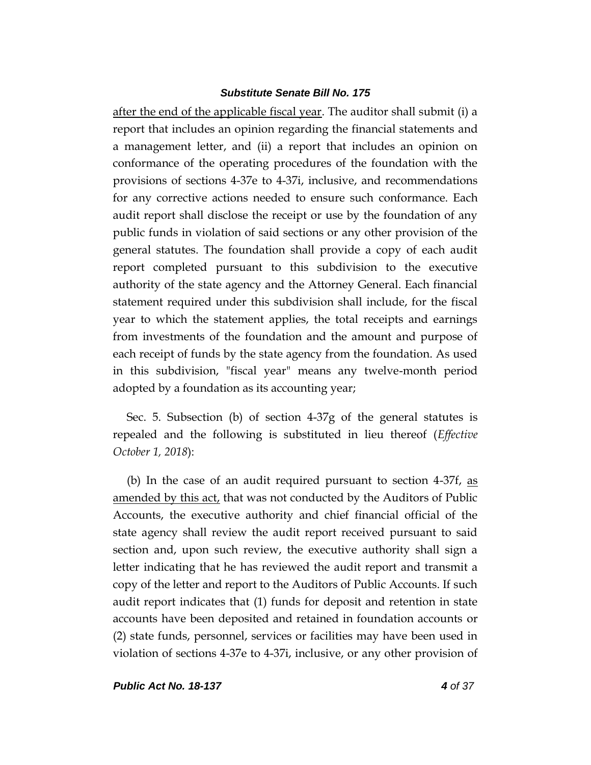after the end of the applicable fiscal year. The auditor shall submit (i) a report that includes an opinion regarding the financial statements and a management letter, and (ii) a report that includes an opinion on conformance of the operating procedures of the foundation with the provisions of sections 4-37e to 4-37i, inclusive, and recommendations for any corrective actions needed to ensure such conformance. Each audit report shall disclose the receipt or use by the foundation of any public funds in violation of said sections or any other provision of the general statutes. The foundation shall provide a copy of each audit report completed pursuant to this subdivision to the executive authority of the state agency and the Attorney General. Each financial statement required under this subdivision shall include, for the fiscal year to which the statement applies, the total receipts and earnings from investments of the foundation and the amount and purpose of each receipt of funds by the state agency from the foundation. As used in this subdivision, "fiscal year" means any twelve-month period adopted by a foundation as its accounting year;

Sec. 5. Subsection (b) of section 4-37g of the general statutes is repealed and the following is substituted in lieu thereof (*Effective October 1, 2018*):

(b) In the case of an audit required pursuant to section  $4-37f$ , as amended by this act, that was not conducted by the Auditors of Public Accounts, the executive authority and chief financial official of the state agency shall review the audit report received pursuant to said section and, upon such review, the executive authority shall sign a letter indicating that he has reviewed the audit report and transmit a copy of the letter and report to the Auditors of Public Accounts. If such audit report indicates that (1) funds for deposit and retention in state accounts have been deposited and retained in foundation accounts or (2) state funds, personnel, services or facilities may have been used in violation of sections 4-37e to 4-37i, inclusive, or any other provision of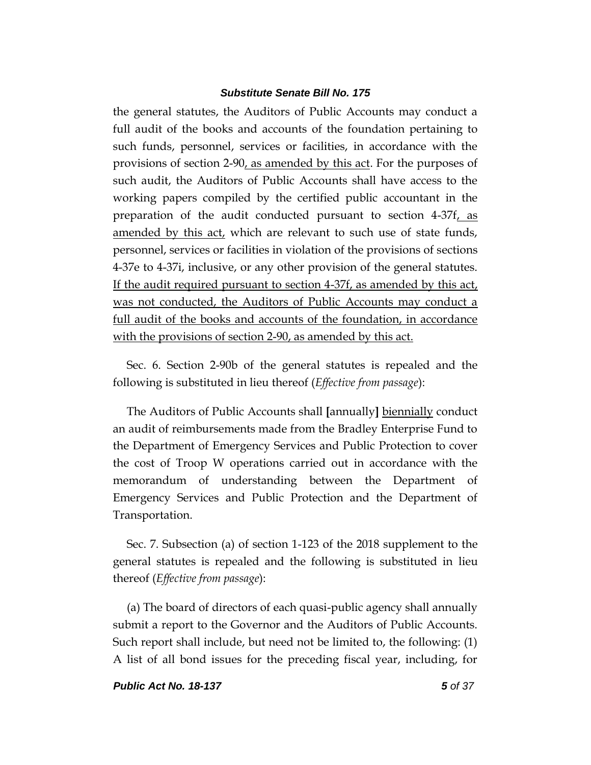the general statutes, the Auditors of Public Accounts may conduct a full audit of the books and accounts of the foundation pertaining to such funds, personnel, services or facilities, in accordance with the provisions of section 2-90, as amended by this act. For the purposes of such audit, the Auditors of Public Accounts shall have access to the working papers compiled by the certified public accountant in the preparation of the audit conducted pursuant to section  $4-37f<sub>1</sub>$  as amended by this act, which are relevant to such use of state funds, personnel, services or facilities in violation of the provisions of sections 4-37e to 4-37i, inclusive, or any other provision of the general statutes. If the audit required pursuant to section 4-37f, as amended by this act, was not conducted, the Auditors of Public Accounts may conduct a full audit of the books and accounts of the foundation, in accordance with the provisions of section 2-90, as amended by this act.

Sec. 6. Section 2-90b of the general statutes is repealed and the following is substituted in lieu thereof (*Effective from passage*):

The Auditors of Public Accounts shall **[**annually**]** biennially conduct an audit of reimbursements made from the Bradley Enterprise Fund to the Department of Emergency Services and Public Protection to cover the cost of Troop W operations carried out in accordance with the memorandum of understanding between the Department of Emergency Services and Public Protection and the Department of Transportation.

Sec. 7. Subsection (a) of section 1-123 of the 2018 supplement to the general statutes is repealed and the following is substituted in lieu thereof (*Effective from passage*):

(a) The board of directors of each quasi-public agency shall annually submit a report to the Governor and the Auditors of Public Accounts. Such report shall include, but need not be limited to, the following: (1) A list of all bond issues for the preceding fiscal year, including, for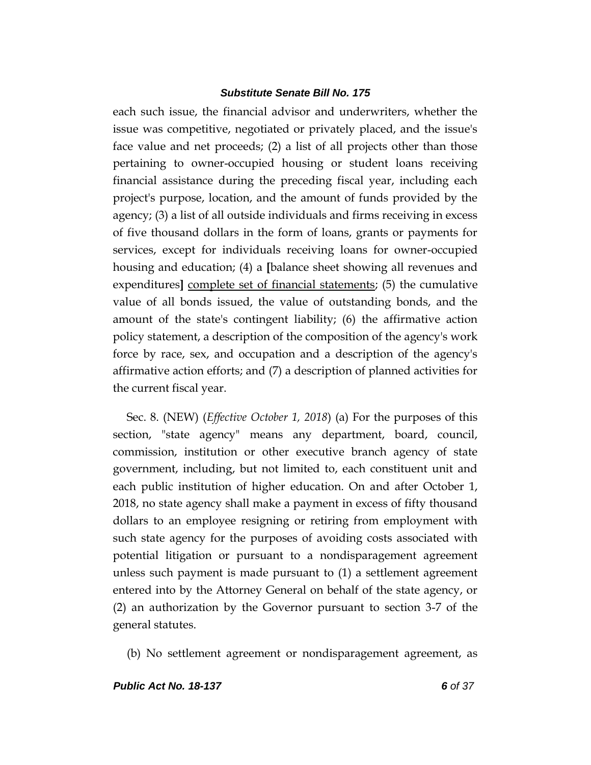each such issue, the financial advisor and underwriters, whether the issue was competitive, negotiated or privately placed, and the issue's face value and net proceeds; (2) a list of all projects other than those pertaining to owner-occupied housing or student loans receiving financial assistance during the preceding fiscal year, including each project's purpose, location, and the amount of funds provided by the agency; (3) a list of all outside individuals and firms receiving in excess of five thousand dollars in the form of loans, grants or payments for services, except for individuals receiving loans for owner-occupied housing and education; (4) a **[**balance sheet showing all revenues and expenditures**]** complete set of financial statements; (5) the cumulative value of all bonds issued, the value of outstanding bonds, and the amount of the state's contingent liability; (6) the affirmative action policy statement, a description of the composition of the agency's work force by race, sex, and occupation and a description of the agency's affirmative action efforts; and (7) a description of planned activities for the current fiscal year.

Sec. 8. (NEW) (*Effective October 1, 2018*) (a) For the purposes of this section, "state agency" means any department, board, council, commission, institution or other executive branch agency of state government, including, but not limited to, each constituent unit and each public institution of higher education. On and after October 1, 2018, no state agency shall make a payment in excess of fifty thousand dollars to an employee resigning or retiring from employment with such state agency for the purposes of avoiding costs associated with potential litigation or pursuant to a nondisparagement agreement unless such payment is made pursuant to (1) a settlement agreement entered into by the Attorney General on behalf of the state agency, or (2) an authorization by the Governor pursuant to section 3-7 of the general statutes.

(b) No settlement agreement or nondisparagement agreement, as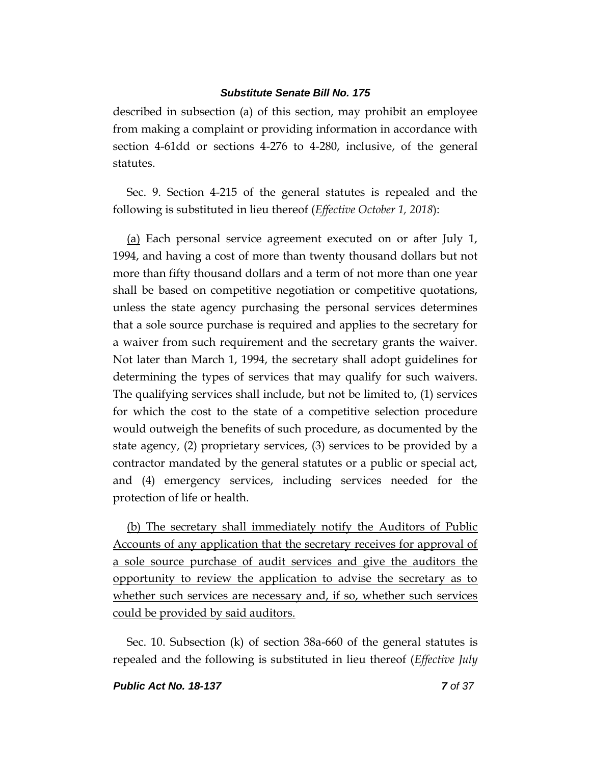described in subsection (a) of this section, may prohibit an employee from making a complaint or providing information in accordance with section 4-61dd or sections 4-276 to 4-280, inclusive, of the general statutes.

Sec. 9. Section 4-215 of the general statutes is repealed and the following is substituted in lieu thereof (*Effective October 1, 2018*):

(a) Each personal service agreement executed on or after July 1, 1994, and having a cost of more than twenty thousand dollars but not more than fifty thousand dollars and a term of not more than one year shall be based on competitive negotiation or competitive quotations, unless the state agency purchasing the personal services determines that a sole source purchase is required and applies to the secretary for a waiver from such requirement and the secretary grants the waiver. Not later than March 1, 1994, the secretary shall adopt guidelines for determining the types of services that may qualify for such waivers. The qualifying services shall include, but not be limited to, (1) services for which the cost to the state of a competitive selection procedure would outweigh the benefits of such procedure, as documented by the state agency, (2) proprietary services, (3) services to be provided by a contractor mandated by the general statutes or a public or special act, and (4) emergency services, including services needed for the protection of life or health.

(b) The secretary shall immediately notify the Auditors of Public Accounts of any application that the secretary receives for approval of a sole source purchase of audit services and give the auditors the opportunity to review the application to advise the secretary as to whether such services are necessary and, if so, whether such services could be provided by said auditors.

Sec. 10. Subsection (k) of section 38a-660 of the general statutes is repealed and the following is substituted in lieu thereof (*Effective July*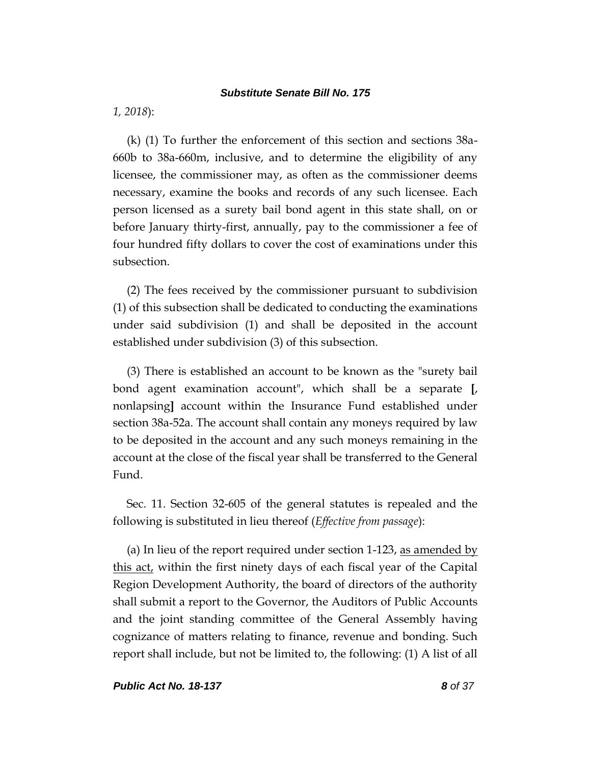*1, 2018*):

(k) (1) To further the enforcement of this section and sections 38a-660b to 38a-660m, inclusive, and to determine the eligibility of any licensee, the commissioner may, as often as the commissioner deems necessary, examine the books and records of any such licensee. Each person licensed as a surety bail bond agent in this state shall, on or before January thirty-first, annually, pay to the commissioner a fee of four hundred fifty dollars to cover the cost of examinations under this subsection.

(2) The fees received by the commissioner pursuant to subdivision (1) of this subsection shall be dedicated to conducting the examinations under said subdivision (1) and shall be deposited in the account established under subdivision (3) of this subsection.

(3) There is established an account to be known as the "surety bail bond agent examination account", which shall be a separate **[**, nonlapsing**]** account within the Insurance Fund established under section 38a-52a. The account shall contain any moneys required by law to be deposited in the account and any such moneys remaining in the account at the close of the fiscal year shall be transferred to the General Fund.

Sec. 11. Section 32-605 of the general statutes is repealed and the following is substituted in lieu thereof (*Effective from passage*):

(a) In lieu of the report required under section 1-123, as amended by this act, within the first ninety days of each fiscal year of the Capital Region Development Authority, the board of directors of the authority shall submit a report to the Governor, the Auditors of Public Accounts and the joint standing committee of the General Assembly having cognizance of matters relating to finance, revenue and bonding. Such report shall include, but not be limited to, the following: (1) A list of all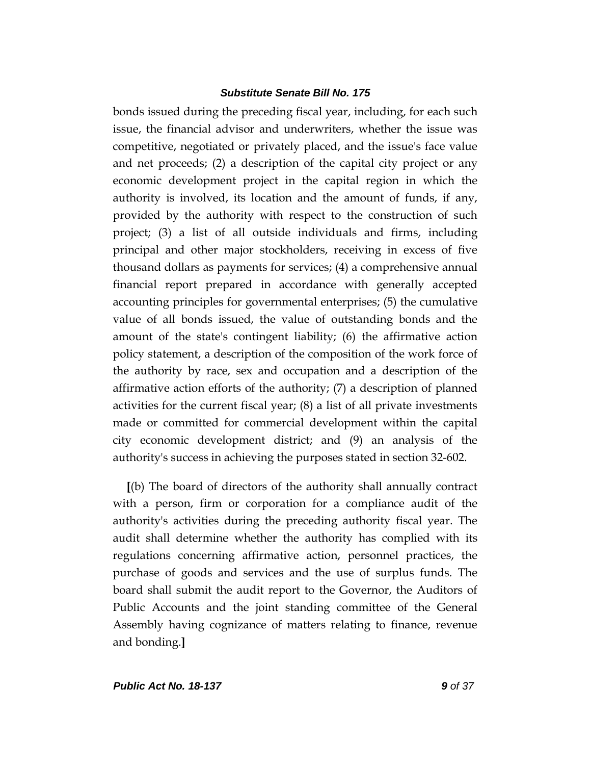bonds issued during the preceding fiscal year, including, for each such issue, the financial advisor and underwriters, whether the issue was competitive, negotiated or privately placed, and the issue's face value and net proceeds; (2) a description of the capital city project or any economic development project in the capital region in which the authority is involved, its location and the amount of funds, if any, provided by the authority with respect to the construction of such project; (3) a list of all outside individuals and firms, including principal and other major stockholders, receiving in excess of five thousand dollars as payments for services; (4) a comprehensive annual financial report prepared in accordance with generally accepted accounting principles for governmental enterprises; (5) the cumulative value of all bonds issued, the value of outstanding bonds and the amount of the state's contingent liability; (6) the affirmative action policy statement, a description of the composition of the work force of the authority by race, sex and occupation and a description of the affirmative action efforts of the authority; (7) a description of planned activities for the current fiscal year; (8) a list of all private investments made or committed for commercial development within the capital city economic development district; and (9) an analysis of the authority's success in achieving the purposes stated in section 32-602.

**[**(b) The board of directors of the authority shall annually contract with a person, firm or corporation for a compliance audit of the authority's activities during the preceding authority fiscal year. The audit shall determine whether the authority has complied with its regulations concerning affirmative action, personnel practices, the purchase of goods and services and the use of surplus funds. The board shall submit the audit report to the Governor, the Auditors of Public Accounts and the joint standing committee of the General Assembly having cognizance of matters relating to finance, revenue and bonding.**]**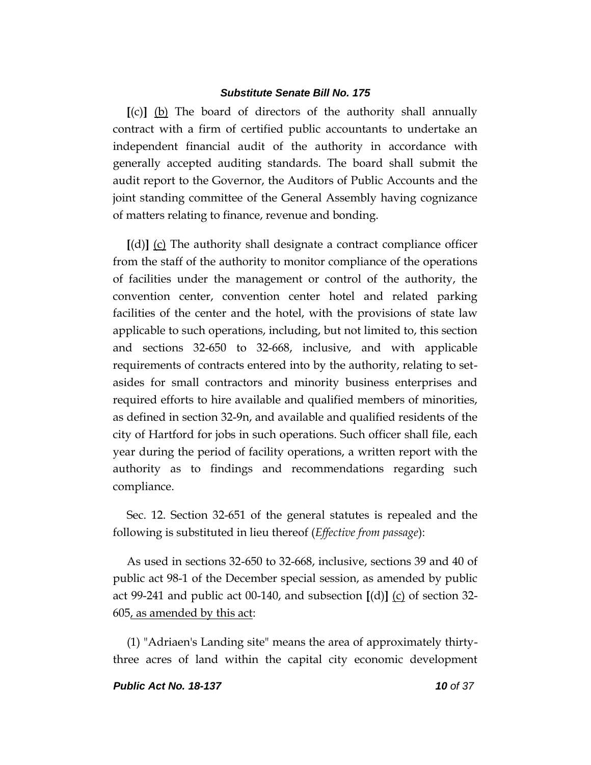**[**(c)**]** (b) The board of directors of the authority shall annually contract with a firm of certified public accountants to undertake an independent financial audit of the authority in accordance with generally accepted auditing standards. The board shall submit the audit report to the Governor, the Auditors of Public Accounts and the joint standing committee of the General Assembly having cognizance of matters relating to finance, revenue and bonding.

**[**(d)**]** (c) The authority shall designate a contract compliance officer from the staff of the authority to monitor compliance of the operations of facilities under the management or control of the authority, the convention center, convention center hotel and related parking facilities of the center and the hotel, with the provisions of state law applicable to such operations, including, but not limited to, this section and sections 32-650 to 32-668, inclusive, and with applicable requirements of contracts entered into by the authority, relating to setasides for small contractors and minority business enterprises and required efforts to hire available and qualified members of minorities, as defined in section 32-9n, and available and qualified residents of the city of Hartford for jobs in such operations. Such officer shall file, each year during the period of facility operations, a written report with the authority as to findings and recommendations regarding such compliance.

Sec. 12. Section 32-651 of the general statutes is repealed and the following is substituted in lieu thereof (*Effective from passage*):

As used in sections 32-650 to 32-668, inclusive, sections 39 and 40 of public act 98-1 of the December special session, as amended by public act 99-241 and public act 00-140, and subsection **[**(d)**]** (c) of section 32- 605, as amended by this act:

(1) "Adriaen's Landing site" means the area of approximately thirtythree acres of land within the capital city economic development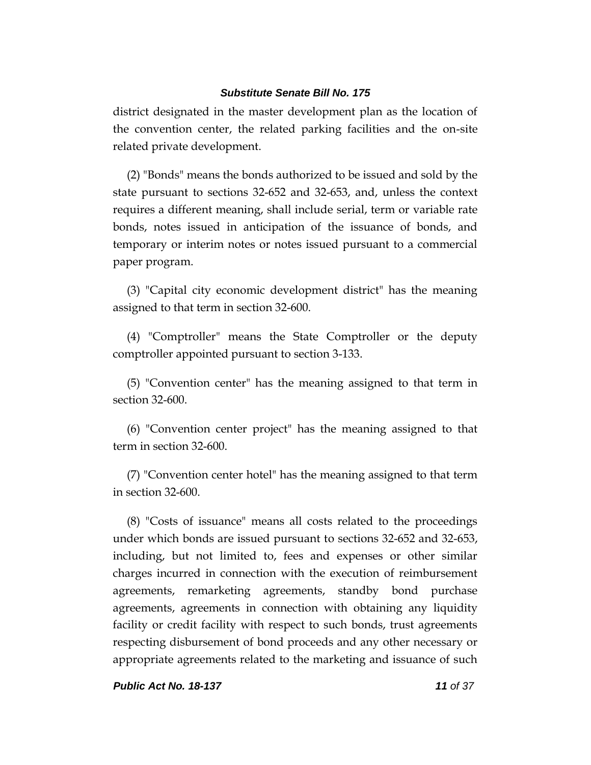district designated in the master development plan as the location of the convention center, the related parking facilities and the on-site related private development.

(2) "Bonds" means the bonds authorized to be issued and sold by the state pursuant to sections 32-652 and 32-653, and, unless the context requires a different meaning, shall include serial, term or variable rate bonds, notes issued in anticipation of the issuance of bonds, and temporary or interim notes or notes issued pursuant to a commercial paper program.

(3) "Capital city economic development district" has the meaning assigned to that term in section 32-600.

(4) "Comptroller" means the State Comptroller or the deputy comptroller appointed pursuant to section 3-133.

(5) "Convention center" has the meaning assigned to that term in section 32-600.

(6) "Convention center project" has the meaning assigned to that term in section 32-600.

(7) "Convention center hotel" has the meaning assigned to that term in section 32-600.

(8) "Costs of issuance" means all costs related to the proceedings under which bonds are issued pursuant to sections 32-652 and 32-653, including, but not limited to, fees and expenses or other similar charges incurred in connection with the execution of reimbursement agreements, remarketing agreements, standby bond purchase agreements, agreements in connection with obtaining any liquidity facility or credit facility with respect to such bonds, trust agreements respecting disbursement of bond proceeds and any other necessary or appropriate agreements related to the marketing and issuance of such

*Public Act No. 18-137 11 of 37*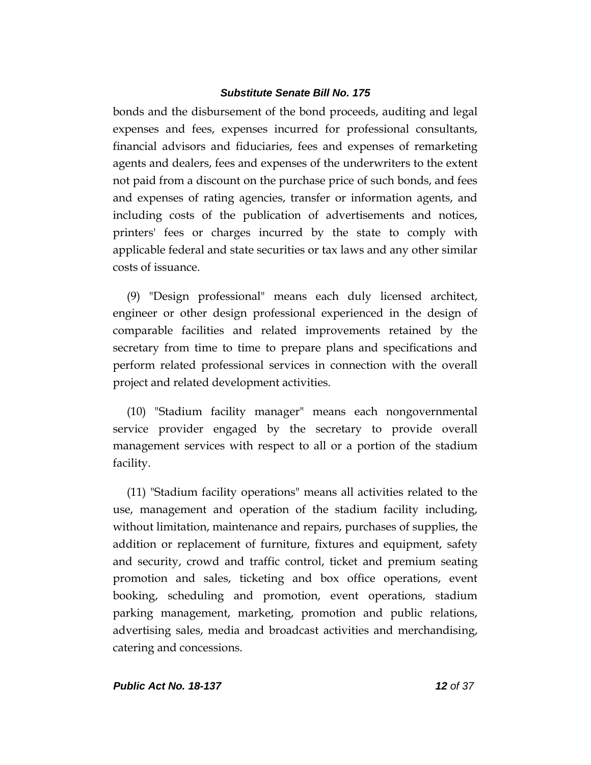bonds and the disbursement of the bond proceeds, auditing and legal expenses and fees, expenses incurred for professional consultants, financial advisors and fiduciaries, fees and expenses of remarketing agents and dealers, fees and expenses of the underwriters to the extent not paid from a discount on the purchase price of such bonds, and fees and expenses of rating agencies, transfer or information agents, and including costs of the publication of advertisements and notices, printers' fees or charges incurred by the state to comply with applicable federal and state securities or tax laws and any other similar costs of issuance.

(9) "Design professional" means each duly licensed architect, engineer or other design professional experienced in the design of comparable facilities and related improvements retained by the secretary from time to time to prepare plans and specifications and perform related professional services in connection with the overall project and related development activities.

(10) "Stadium facility manager" means each nongovernmental service provider engaged by the secretary to provide overall management services with respect to all or a portion of the stadium facility.

(11) "Stadium facility operations" means all activities related to the use, management and operation of the stadium facility including, without limitation, maintenance and repairs, purchases of supplies, the addition or replacement of furniture, fixtures and equipment, safety and security, crowd and traffic control, ticket and premium seating promotion and sales, ticketing and box office operations, event booking, scheduling and promotion, event operations, stadium parking management, marketing, promotion and public relations, advertising sales, media and broadcast activities and merchandising, catering and concessions.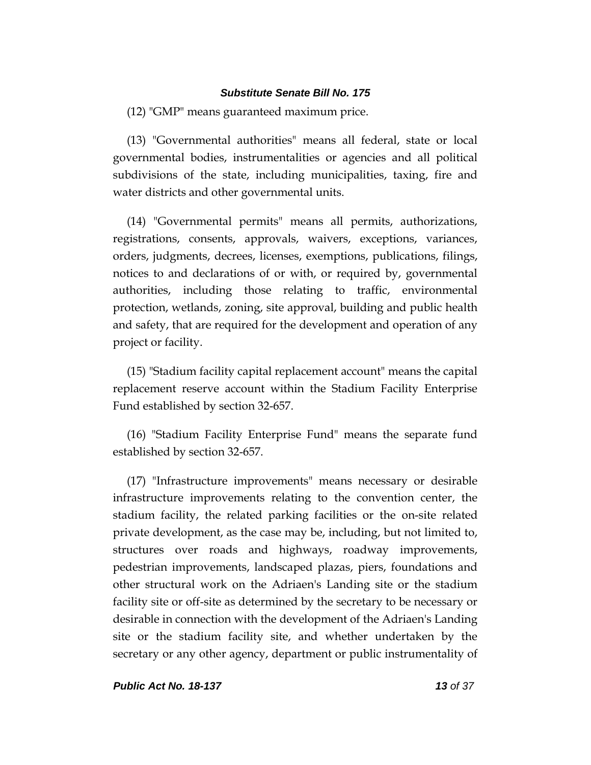(12) "GMP" means guaranteed maximum price.

(13) "Governmental authorities" means all federal, state or local governmental bodies, instrumentalities or agencies and all political subdivisions of the state, including municipalities, taxing, fire and water districts and other governmental units.

(14) "Governmental permits" means all permits, authorizations, registrations, consents, approvals, waivers, exceptions, variances, orders, judgments, decrees, licenses, exemptions, publications, filings, notices to and declarations of or with, or required by, governmental authorities, including those relating to traffic, environmental protection, wetlands, zoning, site approval, building and public health and safety, that are required for the development and operation of any project or facility.

(15) "Stadium facility capital replacement account" means the capital replacement reserve account within the Stadium Facility Enterprise Fund established by section 32-657.

(16) "Stadium Facility Enterprise Fund" means the separate fund established by section 32-657.

(17) "Infrastructure improvements" means necessary or desirable infrastructure improvements relating to the convention center, the stadium facility, the related parking facilities or the on-site related private development, as the case may be, including, but not limited to, structures over roads and highways, roadway improvements, pedestrian improvements, landscaped plazas, piers, foundations and other structural work on the Adriaen's Landing site or the stadium facility site or off-site as determined by the secretary to be necessary or desirable in connection with the development of the Adriaen's Landing site or the stadium facility site, and whether undertaken by the secretary or any other agency, department or public instrumentality of

*Public Act No. 18-137 13 of 37*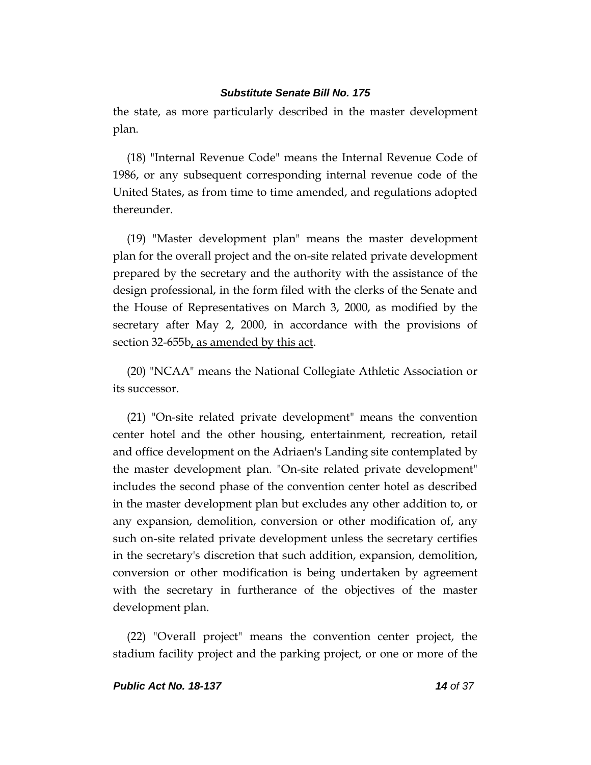the state, as more particularly described in the master development plan.

(18) "Internal Revenue Code" means the Internal Revenue Code of 1986, or any subsequent corresponding internal revenue code of the United States, as from time to time amended, and regulations adopted thereunder.

(19) "Master development plan" means the master development plan for the overall project and the on-site related private development prepared by the secretary and the authority with the assistance of the design professional, in the form filed with the clerks of the Senate and the House of Representatives on March 3, 2000, as modified by the secretary after May 2, 2000, in accordance with the provisions of section 32-655b, as amended by this act.

(20) "NCAA" means the National Collegiate Athletic Association or its successor.

(21) "On-site related private development" means the convention center hotel and the other housing, entertainment, recreation, retail and office development on the Adriaen's Landing site contemplated by the master development plan. "On-site related private development" includes the second phase of the convention center hotel as described in the master development plan but excludes any other addition to, or any expansion, demolition, conversion or other modification of, any such on-site related private development unless the secretary certifies in the secretary's discretion that such addition, expansion, demolition, conversion or other modification is being undertaken by agreement with the secretary in furtherance of the objectives of the master development plan.

(22) "Overall project" means the convention center project, the stadium facility project and the parking project, or one or more of the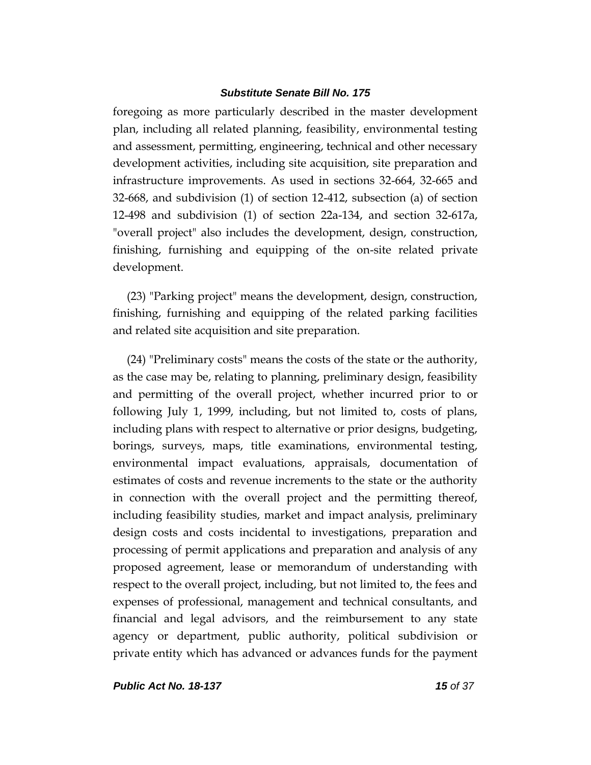foregoing as more particularly described in the master development plan, including all related planning, feasibility, environmental testing and assessment, permitting, engineering, technical and other necessary development activities, including site acquisition, site preparation and infrastructure improvements. As used in sections 32-664, 32-665 and 32-668, and subdivision (1) of section 12-412, subsection (a) of section 12-498 and subdivision (1) of section 22a-134, and section 32-617a, "overall project" also includes the development, design, construction, finishing, furnishing and equipping of the on-site related private development.

(23) "Parking project" means the development, design, construction, finishing, furnishing and equipping of the related parking facilities and related site acquisition and site preparation.

(24) "Preliminary costs" means the costs of the state or the authority, as the case may be, relating to planning, preliminary design, feasibility and permitting of the overall project, whether incurred prior to or following July 1, 1999, including, but not limited to, costs of plans, including plans with respect to alternative or prior designs, budgeting, borings, surveys, maps, title examinations, environmental testing, environmental impact evaluations, appraisals, documentation of estimates of costs and revenue increments to the state or the authority in connection with the overall project and the permitting thereof, including feasibility studies, market and impact analysis, preliminary design costs and costs incidental to investigations, preparation and processing of permit applications and preparation and analysis of any proposed agreement, lease or memorandum of understanding with respect to the overall project, including, but not limited to, the fees and expenses of professional, management and technical consultants, and financial and legal advisors, and the reimbursement to any state agency or department, public authority, political subdivision or private entity which has advanced or advances funds for the payment

*Public Act No. 18-137 15 of 37*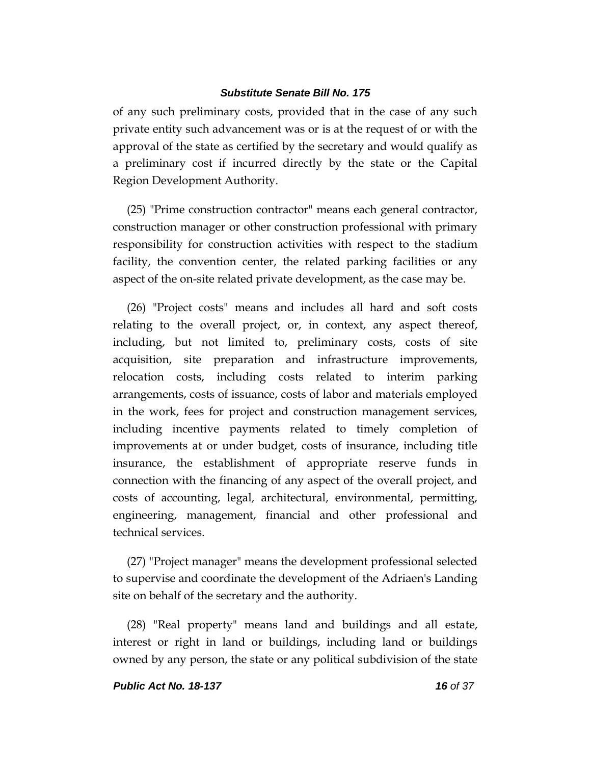of any such preliminary costs, provided that in the case of any such private entity such advancement was or is at the request of or with the approval of the state as certified by the secretary and would qualify as a preliminary cost if incurred directly by the state or the Capital Region Development Authority.

(25) "Prime construction contractor" means each general contractor, construction manager or other construction professional with primary responsibility for construction activities with respect to the stadium facility, the convention center, the related parking facilities or any aspect of the on-site related private development, as the case may be.

(26) "Project costs" means and includes all hard and soft costs relating to the overall project, or, in context, any aspect thereof, including, but not limited to, preliminary costs, costs of site acquisition, site preparation and infrastructure improvements, relocation costs, including costs related to interim parking arrangements, costs of issuance, costs of labor and materials employed in the work, fees for project and construction management services, including incentive payments related to timely completion of improvements at or under budget, costs of insurance, including title insurance, the establishment of appropriate reserve funds in connection with the financing of any aspect of the overall project, and costs of accounting, legal, architectural, environmental, permitting, engineering, management, financial and other professional and technical services.

(27) "Project manager" means the development professional selected to supervise and coordinate the development of the Adriaen's Landing site on behalf of the secretary and the authority.

(28) "Real property" means land and buildings and all estate, interest or right in land or buildings, including land or buildings owned by any person, the state or any political subdivision of the state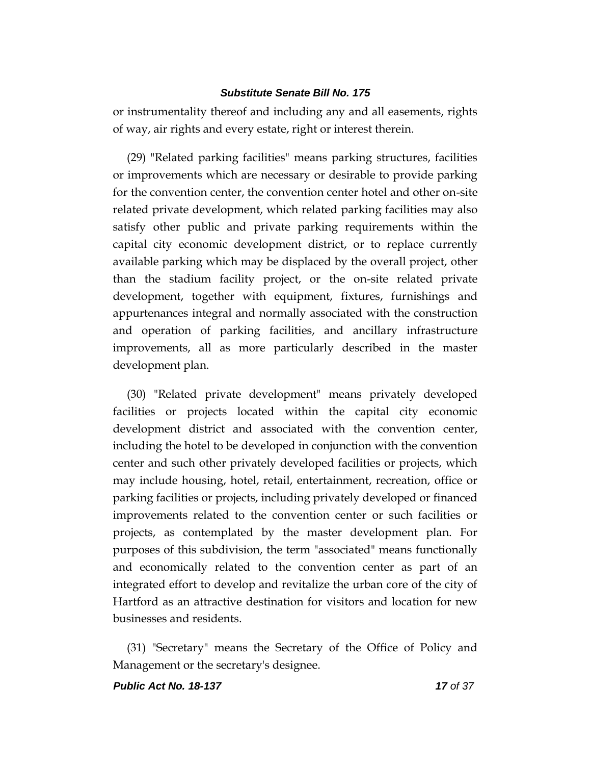or instrumentality thereof and including any and all easements, rights of way, air rights and every estate, right or interest therein.

(29) "Related parking facilities" means parking structures, facilities or improvements which are necessary or desirable to provide parking for the convention center, the convention center hotel and other on-site related private development, which related parking facilities may also satisfy other public and private parking requirements within the capital city economic development district, or to replace currently available parking which may be displaced by the overall project, other than the stadium facility project, or the on-site related private development, together with equipment, fixtures, furnishings and appurtenances integral and normally associated with the construction and operation of parking facilities, and ancillary infrastructure improvements, all as more particularly described in the master development plan.

(30) "Related private development" means privately developed facilities or projects located within the capital city economic development district and associated with the convention center, including the hotel to be developed in conjunction with the convention center and such other privately developed facilities or projects, which may include housing, hotel, retail, entertainment, recreation, office or parking facilities or projects, including privately developed or financed improvements related to the convention center or such facilities or projects, as contemplated by the master development plan. For purposes of this subdivision, the term "associated" means functionally and economically related to the convention center as part of an integrated effort to develop and revitalize the urban core of the city of Hartford as an attractive destination for visitors and location for new businesses and residents.

(31) "Secretary" means the Secretary of the Office of Policy and Management or the secretary's designee.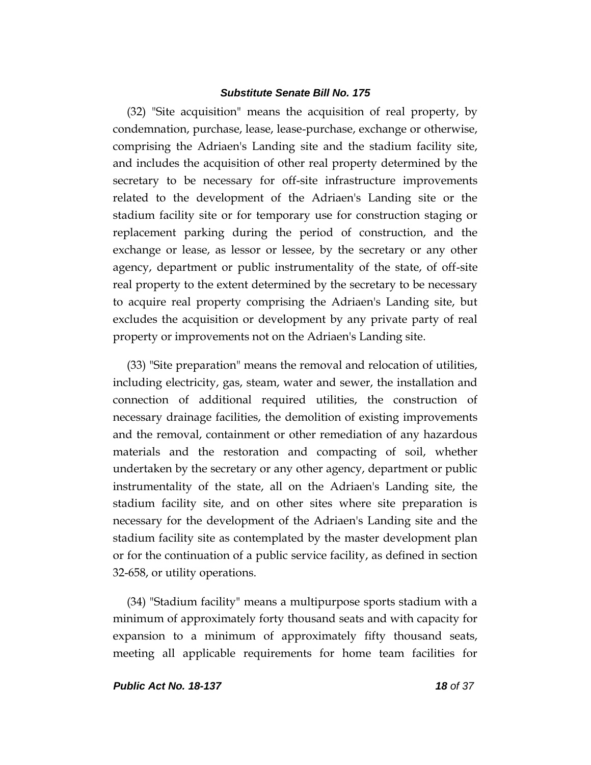(32) "Site acquisition" means the acquisition of real property, by condemnation, purchase, lease, lease-purchase, exchange or otherwise, comprising the Adriaen's Landing site and the stadium facility site, and includes the acquisition of other real property determined by the secretary to be necessary for off-site infrastructure improvements related to the development of the Adriaen's Landing site or the stadium facility site or for temporary use for construction staging or replacement parking during the period of construction, and the exchange or lease, as lessor or lessee, by the secretary or any other agency, department or public instrumentality of the state, of off-site real property to the extent determined by the secretary to be necessary to acquire real property comprising the Adriaen's Landing site, but excludes the acquisition or development by any private party of real property or improvements not on the Adriaen's Landing site.

(33) "Site preparation" means the removal and relocation of utilities, including electricity, gas, steam, water and sewer, the installation and connection of additional required utilities, the construction of necessary drainage facilities, the demolition of existing improvements and the removal, containment or other remediation of any hazardous materials and the restoration and compacting of soil, whether undertaken by the secretary or any other agency, department or public instrumentality of the state, all on the Adriaen's Landing site, the stadium facility site, and on other sites where site preparation is necessary for the development of the Adriaen's Landing site and the stadium facility site as contemplated by the master development plan or for the continuation of a public service facility, as defined in section 32-658, or utility operations.

(34) "Stadium facility" means a multipurpose sports stadium with a minimum of approximately forty thousand seats and with capacity for expansion to a minimum of approximately fifty thousand seats, meeting all applicable requirements for home team facilities for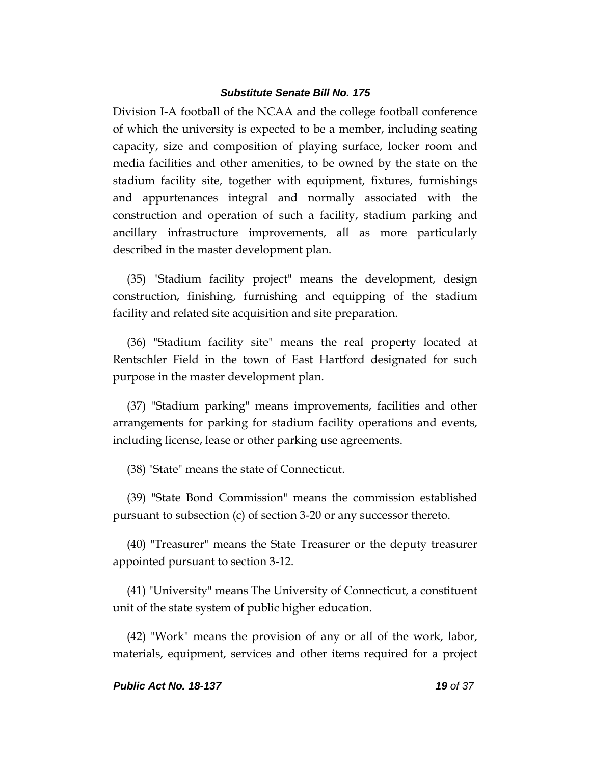Division I-A football of the NCAA and the college football conference of which the university is expected to be a member, including seating capacity, size and composition of playing surface, locker room and media facilities and other amenities, to be owned by the state on the stadium facility site, together with equipment, fixtures, furnishings and appurtenances integral and normally associated with the construction and operation of such a facility, stadium parking and ancillary infrastructure improvements, all as more particularly described in the master development plan.

(35) "Stadium facility project" means the development, design construction, finishing, furnishing and equipping of the stadium facility and related site acquisition and site preparation.

(36) "Stadium facility site" means the real property located at Rentschler Field in the town of East Hartford designated for such purpose in the master development plan.

(37) "Stadium parking" means improvements, facilities and other arrangements for parking for stadium facility operations and events, including license, lease or other parking use agreements.

(38) "State" means the state of Connecticut.

(39) "State Bond Commission" means the commission established pursuant to subsection (c) of section 3-20 or any successor thereto.

(40) "Treasurer" means the State Treasurer or the deputy treasurer appointed pursuant to section 3-12.

(41) "University" means The University of Connecticut, a constituent unit of the state system of public higher education.

(42) "Work" means the provision of any or all of the work, labor, materials, equipment, services and other items required for a project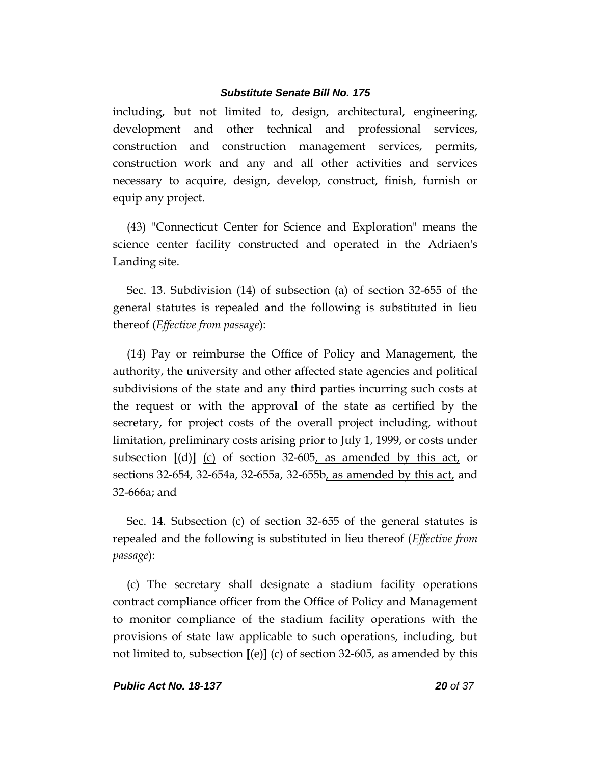including, but not limited to, design, architectural, engineering, development and other technical and professional services, construction and construction management services, permits, construction work and any and all other activities and services necessary to acquire, design, develop, construct, finish, furnish or equip any project.

(43) "Connecticut Center for Science and Exploration" means the science center facility constructed and operated in the Adriaen's Landing site.

Sec. 13. Subdivision (14) of subsection (a) of section 32-655 of the general statutes is repealed and the following is substituted in lieu thereof (*Effective from passage*):

(14) Pay or reimburse the Office of Policy and Management, the authority, the university and other affected state agencies and political subdivisions of the state and any third parties incurring such costs at the request or with the approval of the state as certified by the secretary, for project costs of the overall project including, without limitation, preliminary costs arising prior to July 1, 1999, or costs under subsection **[**(d)**]** (c) of section 32-605, as amended by this act, or sections 32-654, 32-654a, 32-655a, 32-655b, as amended by this act, and 32-666a; and

Sec. 14. Subsection (c) of section 32-655 of the general statutes is repealed and the following is substituted in lieu thereof (*Effective from passage*):

(c) The secretary shall designate a stadium facility operations contract compliance officer from the Office of Policy and Management to monitor compliance of the stadium facility operations with the provisions of state law applicable to such operations, including, but not limited to, subsection **[**(e)**]** (c) of section 32-605, as amended by this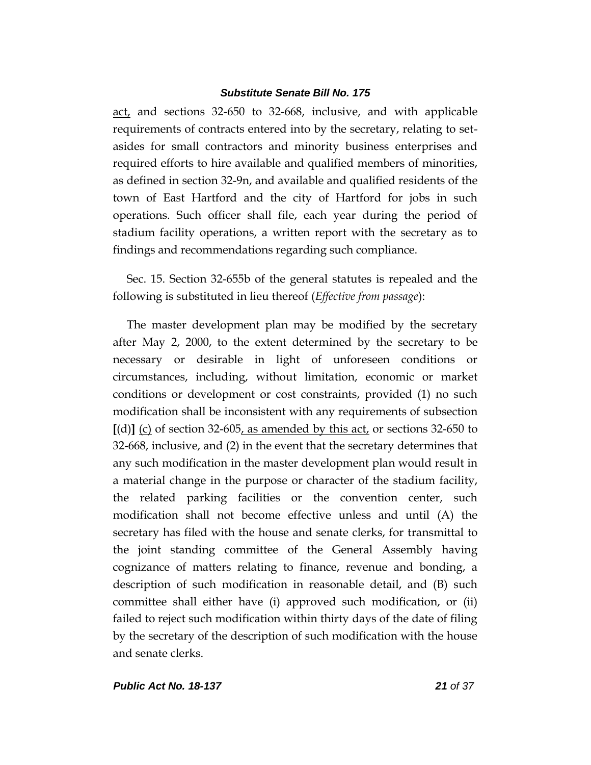act, and sections 32-650 to 32-668, inclusive, and with applicable requirements of contracts entered into by the secretary, relating to setasides for small contractors and minority business enterprises and required efforts to hire available and qualified members of minorities, as defined in section 32-9n, and available and qualified residents of the town of East Hartford and the city of Hartford for jobs in such operations. Such officer shall file, each year during the period of stadium facility operations, a written report with the secretary as to findings and recommendations regarding such compliance.

Sec. 15. Section 32-655b of the general statutes is repealed and the following is substituted in lieu thereof (*Effective from passage*):

The master development plan may be modified by the secretary after May 2, 2000, to the extent determined by the secretary to be necessary or desirable in light of unforeseen conditions or circumstances, including, without limitation, economic or market conditions or development or cost constraints, provided (1) no such modification shall be inconsistent with any requirements of subsection  $[(d)]$   $(c)$  of section 32-605, as amended by this act, or sections 32-650 to 32-668, inclusive, and (2) in the event that the secretary determines that any such modification in the master development plan would result in a material change in the purpose or character of the stadium facility, the related parking facilities or the convention center, such modification shall not become effective unless and until (A) the secretary has filed with the house and senate clerks, for transmittal to the joint standing committee of the General Assembly having cognizance of matters relating to finance, revenue and bonding, a description of such modification in reasonable detail, and (B) such committee shall either have (i) approved such modification, or (ii) failed to reject such modification within thirty days of the date of filing by the secretary of the description of such modification with the house and senate clerks.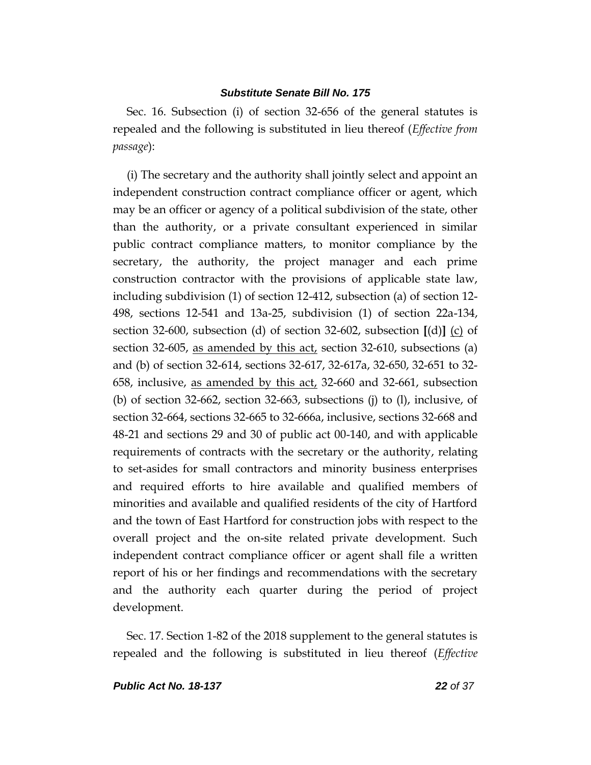Sec. 16. Subsection (i) of section 32-656 of the general statutes is repealed and the following is substituted in lieu thereof (*Effective from passage*):

(i) The secretary and the authority shall jointly select and appoint an independent construction contract compliance officer or agent, which may be an officer or agency of a political subdivision of the state, other than the authority, or a private consultant experienced in similar public contract compliance matters, to monitor compliance by the secretary, the authority, the project manager and each prime construction contractor with the provisions of applicable state law, including subdivision (1) of section 12-412, subsection (a) of section 12- 498, sections 12-541 and 13a-25, subdivision (1) of section 22a-134, section 32-600, subsection (d) of section 32-602, subsection **[**(d)**]** (c) of section 32-605, as amended by this act, section 32-610, subsections (a) and (b) of section 32-614, sections 32-617, 32-617a, 32-650, 32-651 to 32- 658, inclusive, as amended by this act, 32-660 and 32-661, subsection (b) of section 32-662, section 32-663, subsections (j) to (l), inclusive, of section 32-664, sections 32-665 to 32-666a, inclusive, sections 32-668 and 48-21 and sections 29 and 30 of public act 00-140, and with applicable requirements of contracts with the secretary or the authority, relating to set-asides for small contractors and minority business enterprises and required efforts to hire available and qualified members of minorities and available and qualified residents of the city of Hartford and the town of East Hartford for construction jobs with respect to the overall project and the on-site related private development. Such independent contract compliance officer or agent shall file a written report of his or her findings and recommendations with the secretary and the authority each quarter during the period of project development.

Sec. 17. Section 1-82 of the 2018 supplement to the general statutes is repealed and the following is substituted in lieu thereof (*Effective*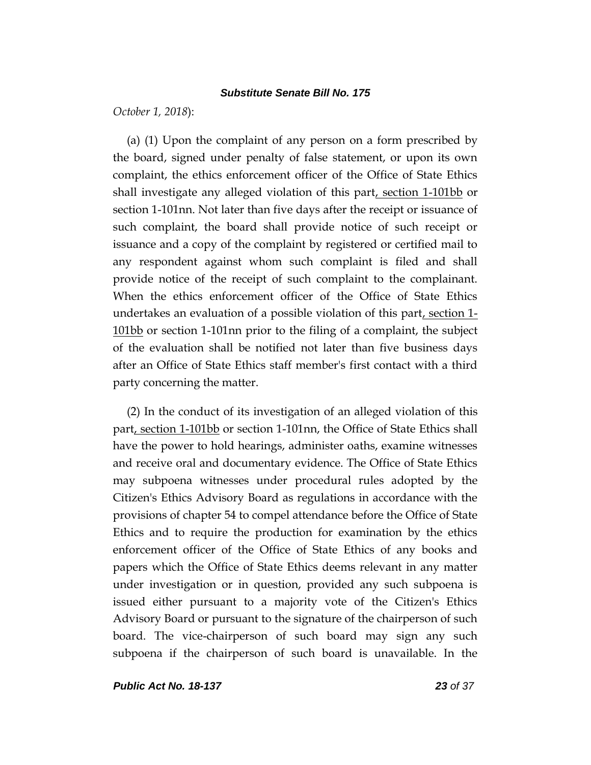*October 1, 2018*):

(a) (1) Upon the complaint of any person on a form prescribed by the board, signed under penalty of false statement, or upon its own complaint, the ethics enforcement officer of the Office of State Ethics shall investigate any alleged violation of this part, section 1-101bb or section 1-101nn. Not later than five days after the receipt or issuance of such complaint, the board shall provide notice of such receipt or issuance and a copy of the complaint by registered or certified mail to any respondent against whom such complaint is filed and shall provide notice of the receipt of such complaint to the complainant. When the ethics enforcement officer of the Office of State Ethics undertakes an evaluation of a possible violation of this part, section 1- 101bb or section 1-101nn prior to the filing of a complaint, the subject of the evaluation shall be notified not later than five business days after an Office of State Ethics staff member's first contact with a third party concerning the matter.

(2) In the conduct of its investigation of an alleged violation of this part, section 1-101bb or section 1-101nn, the Office of State Ethics shall have the power to hold hearings, administer oaths, examine witnesses and receive oral and documentary evidence. The Office of State Ethics may subpoena witnesses under procedural rules adopted by the Citizen's Ethics Advisory Board as regulations in accordance with the provisions of chapter 54 to compel attendance before the Office of State Ethics and to require the production for examination by the ethics enforcement officer of the Office of State Ethics of any books and papers which the Office of State Ethics deems relevant in any matter under investigation or in question, provided any such subpoena is issued either pursuant to a majority vote of the Citizen's Ethics Advisory Board or pursuant to the signature of the chairperson of such board. The vice-chairperson of such board may sign any such subpoena if the chairperson of such board is unavailable. In the

*Public Act No. 18-137 23 of 37*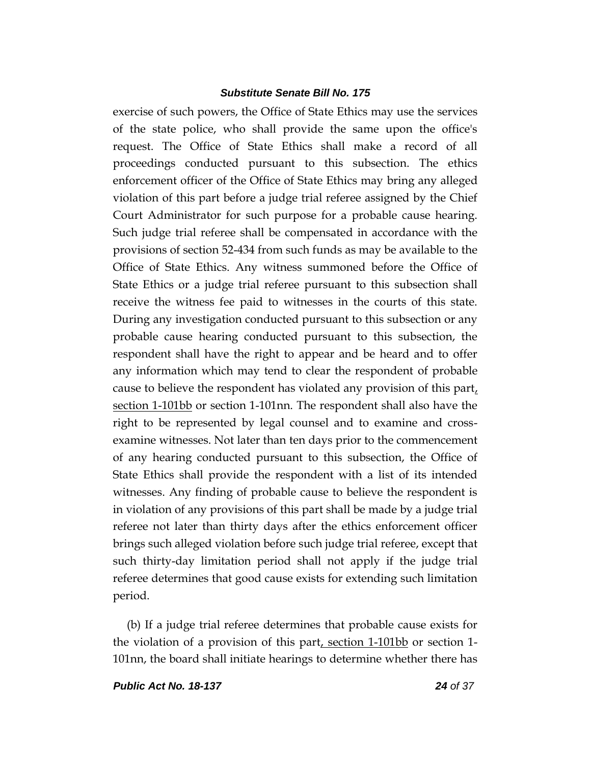exercise of such powers, the Office of State Ethics may use the services of the state police, who shall provide the same upon the office's request. The Office of State Ethics shall make a record of all proceedings conducted pursuant to this subsection. The ethics enforcement officer of the Office of State Ethics may bring any alleged violation of this part before a judge trial referee assigned by the Chief Court Administrator for such purpose for a probable cause hearing. Such judge trial referee shall be compensated in accordance with the provisions of section 52-434 from such funds as may be available to the Office of State Ethics. Any witness summoned before the Office of State Ethics or a judge trial referee pursuant to this subsection shall receive the witness fee paid to witnesses in the courts of this state. During any investigation conducted pursuant to this subsection or any probable cause hearing conducted pursuant to this subsection, the respondent shall have the right to appear and be heard and to offer any information which may tend to clear the respondent of probable cause to believe the respondent has violated any provision of this part, section 1-101bb or section 1-101nn. The respondent shall also have the right to be represented by legal counsel and to examine and crossexamine witnesses. Not later than ten days prior to the commencement of any hearing conducted pursuant to this subsection, the Office of State Ethics shall provide the respondent with a list of its intended witnesses. Any finding of probable cause to believe the respondent is in violation of any provisions of this part shall be made by a judge trial referee not later than thirty days after the ethics enforcement officer brings such alleged violation before such judge trial referee, except that such thirty-day limitation period shall not apply if the judge trial referee determines that good cause exists for extending such limitation period.

(b) If a judge trial referee determines that probable cause exists for the violation of a provision of this part, section 1-101bb or section 1- 101nn, the board shall initiate hearings to determine whether there has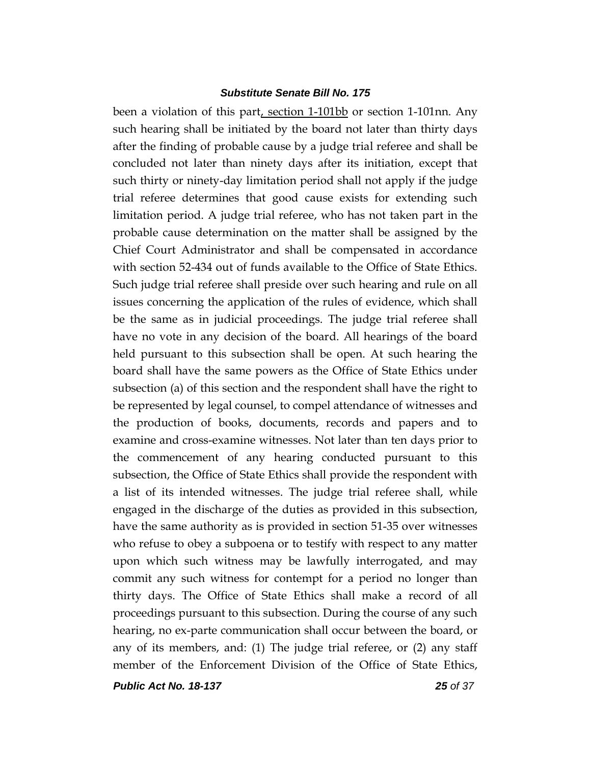been a violation of this part, section 1-101bb or section 1-101nn. Any such hearing shall be initiated by the board not later than thirty days after the finding of probable cause by a judge trial referee and shall be concluded not later than ninety days after its initiation, except that such thirty or ninety-day limitation period shall not apply if the judge trial referee determines that good cause exists for extending such limitation period. A judge trial referee, who has not taken part in the probable cause determination on the matter shall be assigned by the Chief Court Administrator and shall be compensated in accordance with section 52-434 out of funds available to the Office of State Ethics. Such judge trial referee shall preside over such hearing and rule on all issues concerning the application of the rules of evidence, which shall be the same as in judicial proceedings. The judge trial referee shall have no vote in any decision of the board. All hearings of the board held pursuant to this subsection shall be open. At such hearing the board shall have the same powers as the Office of State Ethics under subsection (a) of this section and the respondent shall have the right to be represented by legal counsel, to compel attendance of witnesses and the production of books, documents, records and papers and to examine and cross-examine witnesses. Not later than ten days prior to the commencement of any hearing conducted pursuant to this subsection, the Office of State Ethics shall provide the respondent with a list of its intended witnesses. The judge trial referee shall, while engaged in the discharge of the duties as provided in this subsection, have the same authority as is provided in section 51-35 over witnesses who refuse to obey a subpoena or to testify with respect to any matter upon which such witness may be lawfully interrogated, and may commit any such witness for contempt for a period no longer than thirty days. The Office of State Ethics shall make a record of all proceedings pursuant to this subsection. During the course of any such hearing, no ex-parte communication shall occur between the board, or any of its members, and: (1) The judge trial referee, or (2) any staff member of the Enforcement Division of the Office of State Ethics,

*Public Act No. 18-137 25 of 37*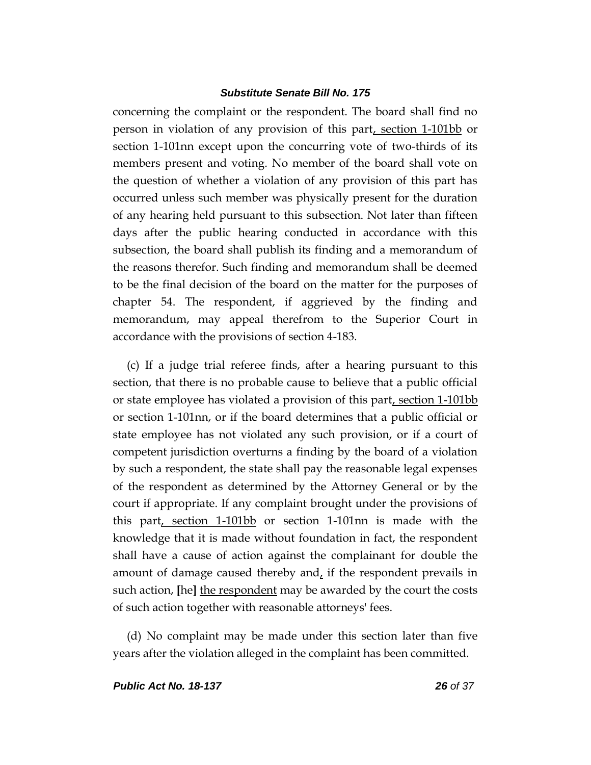concerning the complaint or the respondent. The board shall find no person in violation of any provision of this part, section 1-101bb or section 1-101nn except upon the concurring vote of two-thirds of its members present and voting. No member of the board shall vote on the question of whether a violation of any provision of this part has occurred unless such member was physically present for the duration of any hearing held pursuant to this subsection. Not later than fifteen days after the public hearing conducted in accordance with this subsection, the board shall publish its finding and a memorandum of the reasons therefor. Such finding and memorandum shall be deemed to be the final decision of the board on the matter for the purposes of chapter 54. The respondent, if aggrieved by the finding and memorandum, may appeal therefrom to the Superior Court in accordance with the provisions of section 4-183.

(c) If a judge trial referee finds, after a hearing pursuant to this section, that there is no probable cause to believe that a public official or state employee has violated a provision of this part, section  $1-101$ or section 1-101nn, or if the board determines that a public official or state employee has not violated any such provision, or if a court of competent jurisdiction overturns a finding by the board of a violation by such a respondent, the state shall pay the reasonable legal expenses of the respondent as determined by the Attorney General or by the court if appropriate. If any complaint brought under the provisions of this part, section 1-101bb or section 1-101nn is made with the knowledge that it is made without foundation in fact, the respondent shall have a cause of action against the complainant for double the amount of damage caused thereby and $<sub>L</sub>$  if the respondent prevails in</sub> such action, **[**he**]** the respondent may be awarded by the court the costs of such action together with reasonable attorneys' fees.

(d) No complaint may be made under this section later than five years after the violation alleged in the complaint has been committed.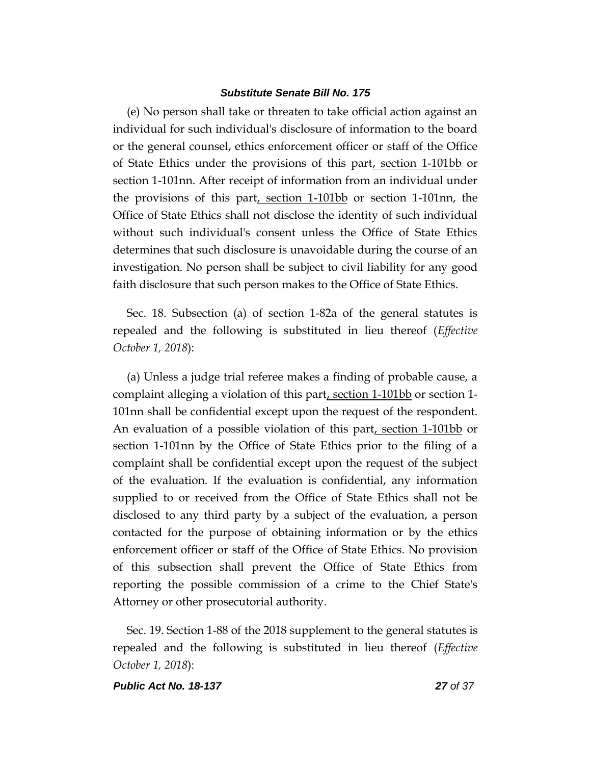(e) No person shall take or threaten to take official action against an individual for such individual's disclosure of information to the board or the general counsel, ethics enforcement officer or staff of the Office of State Ethics under the provisions of this part, section 1-101bb or section 1-101nn. After receipt of information from an individual under the provisions of this part, section 1-101bb or section 1-101nn, the Office of State Ethics shall not disclose the identity of such individual without such individual's consent unless the Office of State Ethics determines that such disclosure is unavoidable during the course of an investigation. No person shall be subject to civil liability for any good faith disclosure that such person makes to the Office of State Ethics.

Sec. 18. Subsection (a) of section 1-82a of the general statutes is repealed and the following is substituted in lieu thereof (*Effective October 1, 2018*):

(a) Unless a judge trial referee makes a finding of probable cause, a complaint alleging a violation of this part, section 1-101bb or section 1- 101nn shall be confidential except upon the request of the respondent. An evaluation of a possible violation of this part, section 1-101bb or section 1-101nn by the Office of State Ethics prior to the filing of a complaint shall be confidential except upon the request of the subject of the evaluation. If the evaluation is confidential, any information supplied to or received from the Office of State Ethics shall not be disclosed to any third party by a subject of the evaluation, a person contacted for the purpose of obtaining information or by the ethics enforcement officer or staff of the Office of State Ethics. No provision of this subsection shall prevent the Office of State Ethics from reporting the possible commission of a crime to the Chief State's Attorney or other prosecutorial authority.

Sec. 19. Section 1-88 of the 2018 supplement to the general statutes is repealed and the following is substituted in lieu thereof (*Effective October 1, 2018*):

*Public Act No. 18-137 27 of 37*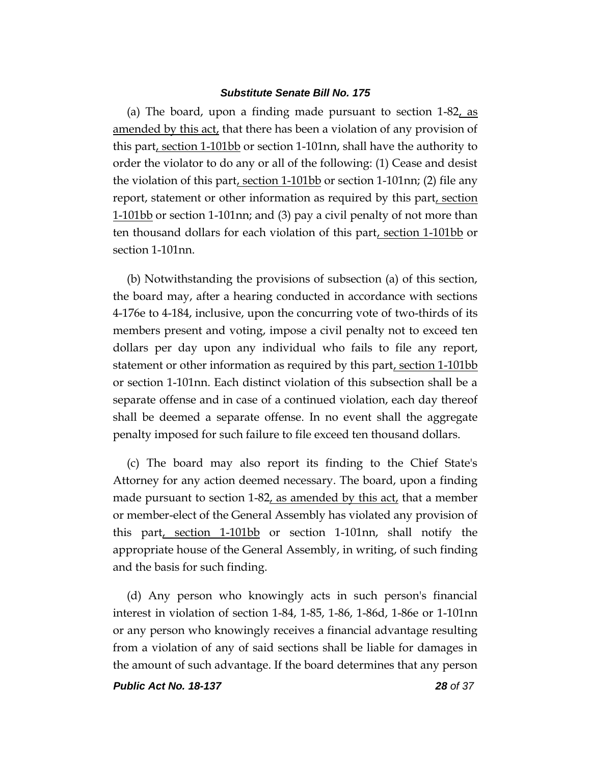(a) The board, upon a finding made pursuant to section 1-82, as amended by this act, that there has been a violation of any provision of this part, section 1-101bb or section 1-101nn, shall have the authority to order the violator to do any or all of the following: (1) Cease and desist the violation of this part, section 1-101bb or section 1-101nn; (2) file any report, statement or other information as required by this part, section 1-101bb or section 1-101nn; and (3) pay a civil penalty of not more than ten thousand dollars for each violation of this part, section 1-101bb or section 1-101nn.

(b) Notwithstanding the provisions of subsection (a) of this section, the board may, after a hearing conducted in accordance with sections 4-176e to 4-184, inclusive, upon the concurring vote of two-thirds of its members present and voting, impose a civil penalty not to exceed ten dollars per day upon any individual who fails to file any report, statement or other information as required by this part, section 1-101bb or section 1-101nn. Each distinct violation of this subsection shall be a separate offense and in case of a continued violation, each day thereof shall be deemed a separate offense. In no event shall the aggregate penalty imposed for such failure to file exceed ten thousand dollars.

(c) The board may also report its finding to the Chief State's Attorney for any action deemed necessary. The board, upon a finding made pursuant to section 1-82, as amended by this act, that a member or member-elect of the General Assembly has violated any provision of this part, section 1-101bb or section 1-101nn, shall notify the appropriate house of the General Assembly, in writing, of such finding and the basis for such finding.

(d) Any person who knowingly acts in such person's financial interest in violation of section 1-84, 1-85, 1-86, 1-86d, 1-86e or 1-101nn or any person who knowingly receives a financial advantage resulting from a violation of any of said sections shall be liable for damages in the amount of such advantage. If the board determines that any person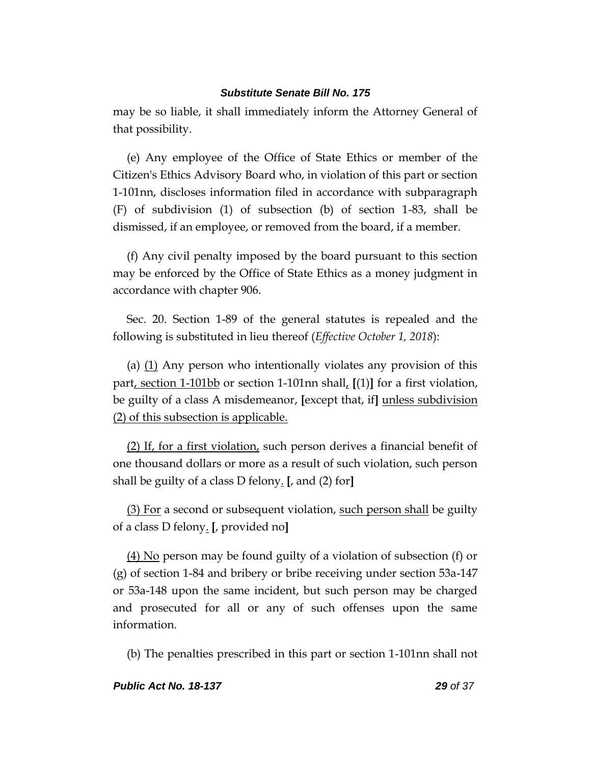may be so liable, it shall immediately inform the Attorney General of that possibility.

(e) Any employee of the Office of State Ethics or member of the Citizen's Ethics Advisory Board who, in violation of this part or section 1-101nn, discloses information filed in accordance with subparagraph (F) of subdivision (1) of subsection (b) of section 1-83, shall be dismissed, if an employee, or removed from the board, if a member.

(f) Any civil penalty imposed by the board pursuant to this section may be enforced by the Office of State Ethics as a money judgment in accordance with chapter 906.

Sec. 20. Section 1-89 of the general statutes is repealed and the following is substituted in lieu thereof (*Effective October 1, 2018*):

(a)  $(1)$  Any person who intentionally violates any provision of this part, section 1-101bb or section 1-101nn shall, **[**(1)**]** for a first violation, be guilty of a class A misdemeanor, **[**except that, if**]** unless subdivision (2) of this subsection is applicable.

(2) If, for a first violation, such person derives a financial benefit of one thousand dollars or more as a result of such violation, such person shall be guilty of a class D felony. **[**, and (2) for**]**

(3) For a second or subsequent violation, such person shall be guilty of a class D felony. **[**, provided no**]**

(4) No person may be found guilty of a violation of subsection (f) or (g) of section 1-84 and bribery or bribe receiving under section 53a-147 or 53a-148 upon the same incident, but such person may be charged and prosecuted for all or any of such offenses upon the same information.

(b) The penalties prescribed in this part or section 1-101nn shall not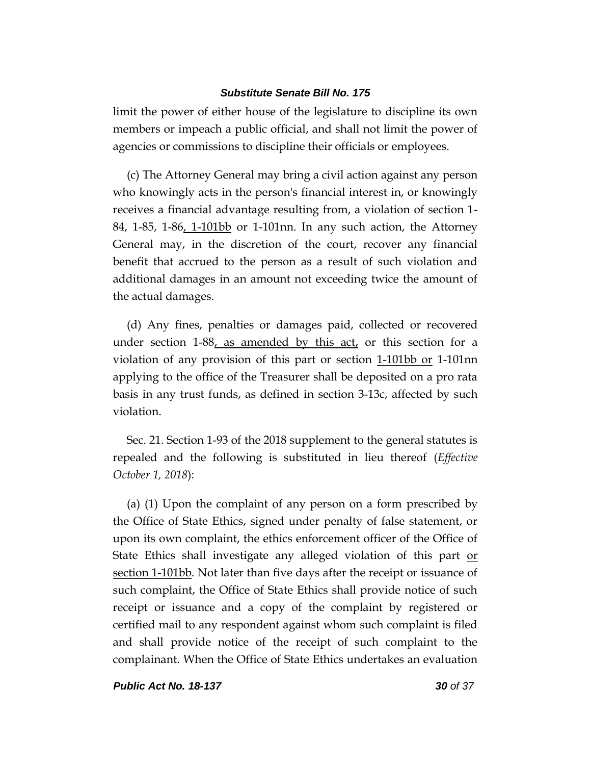limit the power of either house of the legislature to discipline its own members or impeach a public official, and shall not limit the power of agencies or commissions to discipline their officials or employees.

(c) The Attorney General may bring a civil action against any person who knowingly acts in the person's financial interest in, or knowingly receives a financial advantage resulting from, a violation of section 1- 84, 1-85, 1-86, 1-101bb or 1-101nn. In any such action, the Attorney General may, in the discretion of the court, recover any financial benefit that accrued to the person as a result of such violation and additional damages in an amount not exceeding twice the amount of the actual damages.

(d) Any fines, penalties or damages paid, collected or recovered under section 1-88, as amended by this act, or this section for a violation of any provision of this part or section 1-101bb or 1-101nn applying to the office of the Treasurer shall be deposited on a pro rata basis in any trust funds, as defined in section 3-13c, affected by such violation.

Sec. 21. Section 1-93 of the 2018 supplement to the general statutes is repealed and the following is substituted in lieu thereof (*Effective October 1, 2018*):

(a) (1) Upon the complaint of any person on a form prescribed by the Office of State Ethics, signed under penalty of false statement, or upon its own complaint, the ethics enforcement officer of the Office of State Ethics shall investigate any alleged violation of this part or section 1-101bb. Not later than five days after the receipt or issuance of such complaint, the Office of State Ethics shall provide notice of such receipt or issuance and a copy of the complaint by registered or certified mail to any respondent against whom such complaint is filed and shall provide notice of the receipt of such complaint to the complainant. When the Office of State Ethics undertakes an evaluation

*Public Act No. 18-137 30 of 37*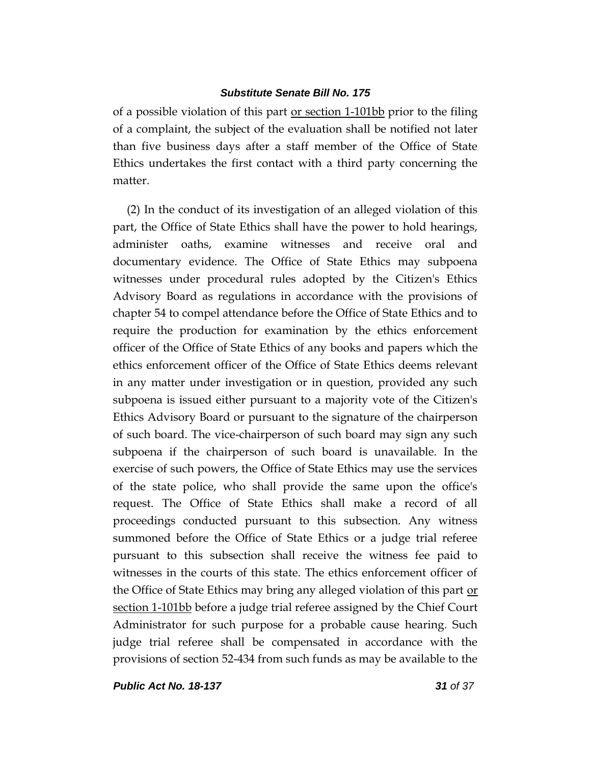of a possible violation of this part or section 1-101bb prior to the filing of a complaint, the subject of the evaluation shall be notified not later than five business days after a staff member of the Office of State Ethics undertakes the first contact with a third party concerning the matter.

(2) In the conduct of its investigation of an alleged violation of this part, the Office of State Ethics shall have the power to hold hearings, administer oaths, examine witnesses and receive oral and documentary evidence. The Office of State Ethics may subpoena witnesses under procedural rules adopted by the Citizen's Ethics Advisory Board as regulations in accordance with the provisions of chapter 54 to compel attendance before the Office of State Ethics and to require the production for examination by the ethics enforcement officer of the Office of State Ethics of any books and papers which the ethics enforcement officer of the Office of State Ethics deems relevant in any matter under investigation or in question, provided any such subpoena is issued either pursuant to a majority vote of the Citizen's Ethics Advisory Board or pursuant to the signature of the chairperson of such board. The vice-chairperson of such board may sign any such subpoena if the chairperson of such board is unavailable. In the exercise of such powers, the Office of State Ethics may use the services of the state police, who shall provide the same upon the office's request. The Office of State Ethics shall make a record of all proceedings conducted pursuant to this subsection. Any witness summoned before the Office of State Ethics or a judge trial referee pursuant to this subsection shall receive the witness fee paid to witnesses in the courts of this state. The ethics enforcement officer of the Office of State Ethics may bring any alleged violation of this part or section 1-101bb before a judge trial referee assigned by the Chief Court Administrator for such purpose for a probable cause hearing. Such judge trial referee shall be compensated in accordance with the provisions of section 52-434 from such funds as may be available to the

*Public Act No. 18-137 31 of 37*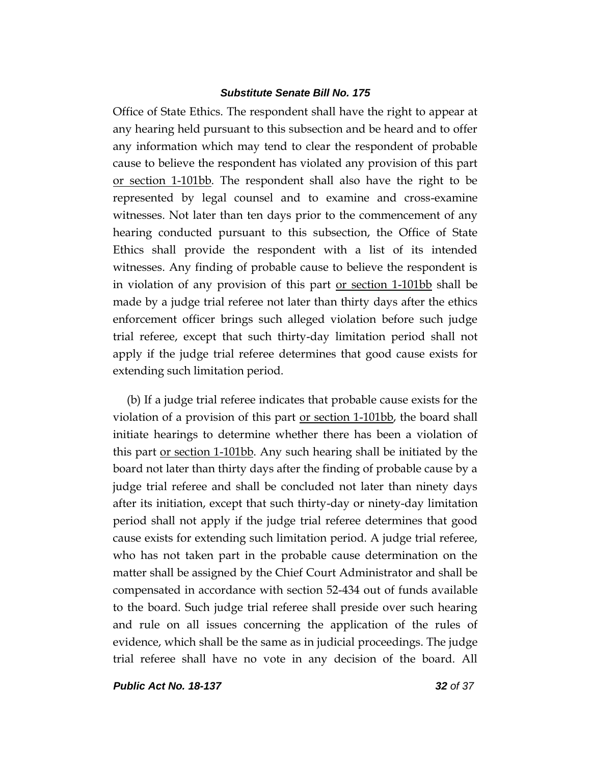Office of State Ethics. The respondent shall have the right to appear at any hearing held pursuant to this subsection and be heard and to offer any information which may tend to clear the respondent of probable cause to believe the respondent has violated any provision of this part or section 1-101bb. The respondent shall also have the right to be represented by legal counsel and to examine and cross-examine witnesses. Not later than ten days prior to the commencement of any hearing conducted pursuant to this subsection, the Office of State Ethics shall provide the respondent with a list of its intended witnesses. Any finding of probable cause to believe the respondent is in violation of any provision of this part <u>or section 1-101bb</u> shall be made by a judge trial referee not later than thirty days after the ethics enforcement officer brings such alleged violation before such judge trial referee, except that such thirty-day limitation period shall not apply if the judge trial referee determines that good cause exists for extending such limitation period.

(b) If a judge trial referee indicates that probable cause exists for the violation of a provision of this part <u>or section 1-101bb</u>, the board shall initiate hearings to determine whether there has been a violation of this part or section 1-101bb. Any such hearing shall be initiated by the board not later than thirty days after the finding of probable cause by a judge trial referee and shall be concluded not later than ninety days after its initiation, except that such thirty-day or ninety-day limitation period shall not apply if the judge trial referee determines that good cause exists for extending such limitation period. A judge trial referee, who has not taken part in the probable cause determination on the matter shall be assigned by the Chief Court Administrator and shall be compensated in accordance with section 52-434 out of funds available to the board. Such judge trial referee shall preside over such hearing and rule on all issues concerning the application of the rules of evidence, which shall be the same as in judicial proceedings. The judge trial referee shall have no vote in any decision of the board. All

*Public Act No. 18-137 32 of 37*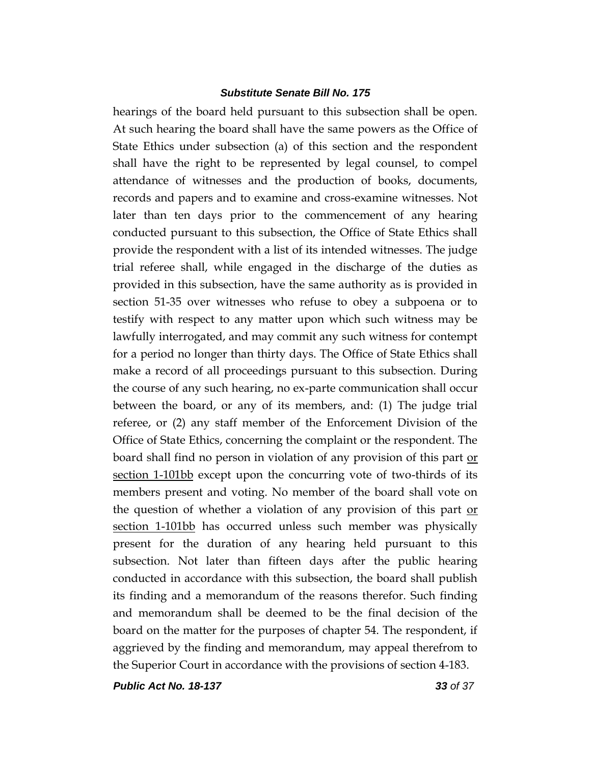hearings of the board held pursuant to this subsection shall be open. At such hearing the board shall have the same powers as the Office of State Ethics under subsection (a) of this section and the respondent shall have the right to be represented by legal counsel, to compel attendance of witnesses and the production of books, documents, records and papers and to examine and cross-examine witnesses. Not later than ten days prior to the commencement of any hearing conducted pursuant to this subsection, the Office of State Ethics shall provide the respondent with a list of its intended witnesses. The judge trial referee shall, while engaged in the discharge of the duties as provided in this subsection, have the same authority as is provided in section 51-35 over witnesses who refuse to obey a subpoena or to testify with respect to any matter upon which such witness may be lawfully interrogated, and may commit any such witness for contempt for a period no longer than thirty days. The Office of State Ethics shall make a record of all proceedings pursuant to this subsection. During the course of any such hearing, no ex-parte communication shall occur between the board, or any of its members, and: (1) The judge trial referee, or (2) any staff member of the Enforcement Division of the Office of State Ethics, concerning the complaint or the respondent. The board shall find no person in violation of any provision of this part or section 1-101bb except upon the concurring vote of two-thirds of its members present and voting. No member of the board shall vote on the question of whether a violation of any provision of this part or section 1-101bb has occurred unless such member was physically present for the duration of any hearing held pursuant to this subsection. Not later than fifteen days after the public hearing conducted in accordance with this subsection, the board shall publish its finding and a memorandum of the reasons therefor. Such finding and memorandum shall be deemed to be the final decision of the board on the matter for the purposes of chapter 54. The respondent, if aggrieved by the finding and memorandum, may appeal therefrom to the Superior Court in accordance with the provisions of section 4-183.

*Public Act No. 18-137 33 of 37*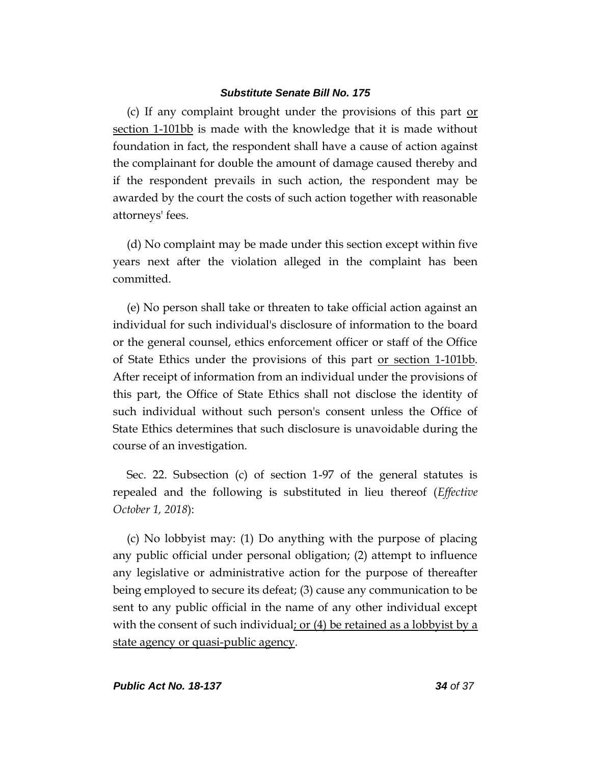(c) If any complaint brought under the provisions of this part or section 1-101bb is made with the knowledge that it is made without foundation in fact, the respondent shall have a cause of action against the complainant for double the amount of damage caused thereby and if the respondent prevails in such action, the respondent may be awarded by the court the costs of such action together with reasonable attorneys' fees.

(d) No complaint may be made under this section except within five years next after the violation alleged in the complaint has been committed.

(e) No person shall take or threaten to take official action against an individual for such individual's disclosure of information to the board or the general counsel, ethics enforcement officer or staff of the Office of State Ethics under the provisions of this part or section 1-101bb. After receipt of information from an individual under the provisions of this part, the Office of State Ethics shall not disclose the identity of such individual without such person's consent unless the Office of State Ethics determines that such disclosure is unavoidable during the course of an investigation.

Sec. 22. Subsection (c) of section 1-97 of the general statutes is repealed and the following is substituted in lieu thereof (*Effective October 1, 2018*):

(c) No lobbyist may: (1) Do anything with the purpose of placing any public official under personal obligation; (2) attempt to influence any legislative or administrative action for the purpose of thereafter being employed to secure its defeat; (3) cause any communication to be sent to any public official in the name of any other individual except with the consent of such individual; or  $(4)$  be retained as a lobbyist by a state agency or quasi-public agency.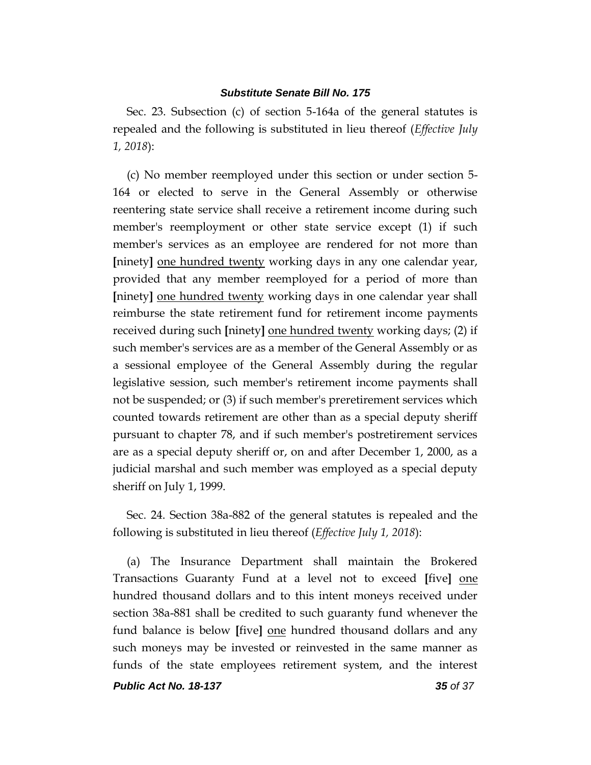Sec. 23. Subsection (c) of section 5-164a of the general statutes is repealed and the following is substituted in lieu thereof (*Effective July 1, 2018*):

(c) No member reemployed under this section or under section 5- 164 or elected to serve in the General Assembly or otherwise reentering state service shall receive a retirement income during such member's reemployment or other state service except (1) if such member's services as an employee are rendered for not more than **[**ninety**]** one hundred twenty working days in any one calendar year, provided that any member reemployed for a period of more than **[**ninety**]** one hundred twenty working days in one calendar year shall reimburse the state retirement fund for retirement income payments received during such **[**ninety**]** one hundred twenty working days; (2) if such member's services are as a member of the General Assembly or as a sessional employee of the General Assembly during the regular legislative session, such member's retirement income payments shall not be suspended; or (3) if such member's preretirement services which counted towards retirement are other than as a special deputy sheriff pursuant to chapter 78, and if such member's postretirement services are as a special deputy sheriff or, on and after December 1, 2000, as a judicial marshal and such member was employed as a special deputy sheriff on July 1, 1999.

Sec. 24. Section 38a-882 of the general statutes is repealed and the following is substituted in lieu thereof (*Effective July 1, 2018*):

(a) The Insurance Department shall maintain the Brokered Transactions Guaranty Fund at a level not to exceed **[**five**]** one hundred thousand dollars and to this intent moneys received under section 38a-881 shall be credited to such guaranty fund whenever the fund balance is below **[**five**]** one hundred thousand dollars and any such moneys may be invested or reinvested in the same manner as funds of the state employees retirement system, and the interest

*Public Act No. 18-137 35 of 37*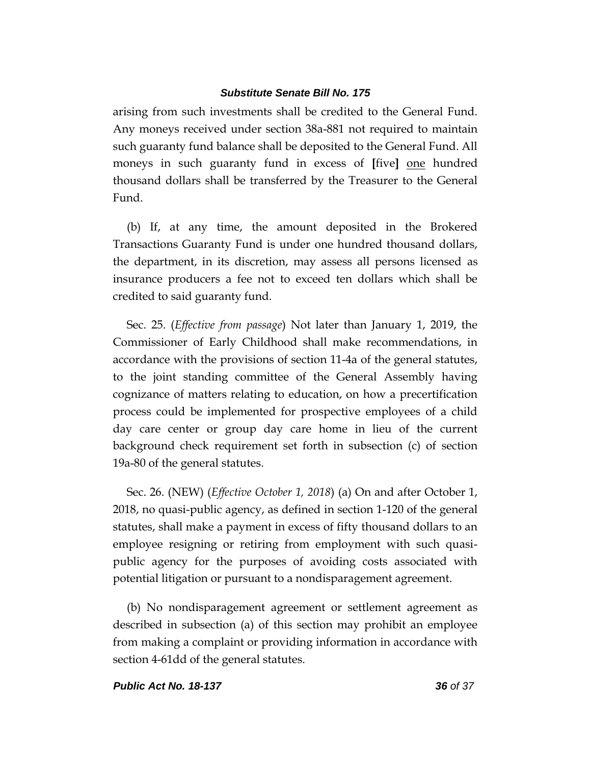arising from such investments shall be credited to the General Fund. Any moneys received under section 38a-881 not required to maintain such guaranty fund balance shall be deposited to the General Fund. All moneys in such guaranty fund in excess of **[**five**]** one hundred thousand dollars shall be transferred by the Treasurer to the General Fund.

(b) If, at any time, the amount deposited in the Brokered Transactions Guaranty Fund is under one hundred thousand dollars, the department, in its discretion, may assess all persons licensed as insurance producers a fee not to exceed ten dollars which shall be credited to said guaranty fund.

Sec. 25. (*Effective from passage*) Not later than January 1, 2019, the Commissioner of Early Childhood shall make recommendations, in accordance with the provisions of section 11-4a of the general statutes, to the joint standing committee of the General Assembly having cognizance of matters relating to education, on how a precertification process could be implemented for prospective employees of a child day care center or group day care home in lieu of the current background check requirement set forth in subsection (c) of section 19a-80 of the general statutes.

Sec. 26. (NEW) (*Effective October 1, 2018*) (a) On and after October 1, 2018, no quasi-public agency, as defined in section 1-120 of the general statutes, shall make a payment in excess of fifty thousand dollars to an employee resigning or retiring from employment with such quasipublic agency for the purposes of avoiding costs associated with potential litigation or pursuant to a nondisparagement agreement.

(b) No nondisparagement agreement or settlement agreement as described in subsection (a) of this section may prohibit an employee from making a complaint or providing information in accordance with section 4-61dd of the general statutes.

*Public Act No. 18-137 36 of 37*